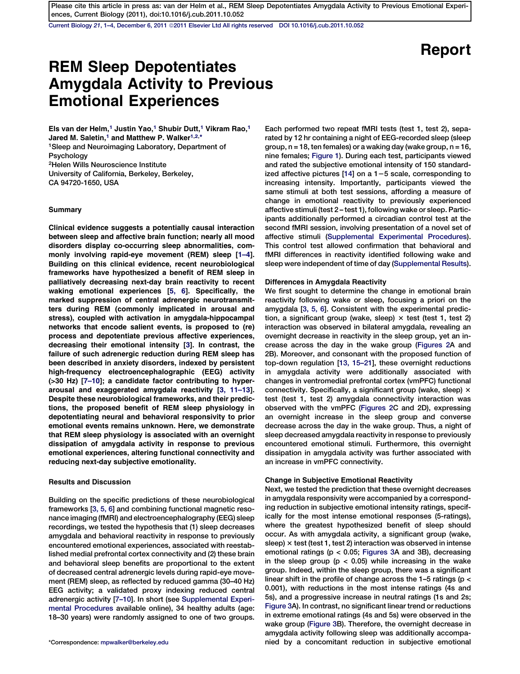Current Biology 21[, 1–4, December 6, 2011](http://dx.doi.org/10.1016/j.cub.2011.10.052) ª[2011 Elsevier Ltd All rights reserved DOI 10.1016/j.cub.2011.10.052](http://dx.doi.org/10.1016/j.cub.2011.10.052)

# Report

# REM Sleep Depotentiates Amygdala Activity to Previous Emotional Experiences

Els van der Helm,<sup>1</sup> Justin Yao,<sup>1</sup> Shubir Dutt,<sup>1</sup> Vikram Rao,<sup>1</sup> Jared M. Saletin,<sup>1</sup> and Matthew P. Walker<sup>1,2,\*</sup> 1Sleep and Neuroimaging Laboratory, Department of Psychology 2Helen Wills Neuroscience Institute University of California, Berkeley, Berkeley, CA 94720-1650, USA

#### Summary

Clinical evidence suggests a potentially causal interaction between sleep and affective brain function; nearly all mood disorders display co-occurring sleep abnormalities, commonly involving rapid-eye movement (REM) sleep [\[1–4](#page-2-0)]. Building on this clinical evidence, recent neurobiological frameworks have hypothesized a benefit of REM sleep in palliatively decreasing next-day brain reactivity to recent waking emotional experiences [[5, 6](#page-2-0)]. Specifically, the marked suppression of central adrenergic neurotransmitters during REM (commonly implicated in arousal and stress), coupled with activation in amygdala-hippocampal networks that encode salient events, is proposed to (re) process and depotentiate previous affective experiences, decreasing their emotional intensity [[3](#page-2-0)]. In contrast, the failure of such adrenergic reduction during REM sleep has been described in anxiety disorders, indexed by persistent high-frequency electroencephalographic (EEG) activity (>30 Hz) [\[7–10\]](#page-2-0); a candidate factor contributing to hyperarousal and exaggerated amygdala reactivity [[3, 11–13](#page-2-0)]. Despite these neurobiological frameworks, and their predictions, the proposed benefit of REM sleep physiology in depotentiating neural and behavioral responsivity to prior emotional events remains unknown. Here, we demonstrate that REM sleep physiology is associated with an overnight dissipation of amygdala activity in response to previous emotional experiences, altering functional connectivity and reducing next-day subjective emotionality.

## Results and Discussion

Building on the specific predictions of these neurobiological frameworks [\[3, 5, 6\]](#page-2-0) and combining functional magnetic resonance imaging (fMRI) and electroencephalography (EEG) sleep recordings, we tested the hypothesis that (1) sleep decreases amygdala and behavioral reactivity in response to previously encountered emotional experiences, associated with reestablished medial prefrontal cortex connectivity and (2) these brain and behavioral sleep benefits are proportional to the extent of decreased central adrenergic levels during rapid-eye movement (REM) sleep, as reflected by reduced gamma (30–40 Hz) EEG activity; a validated proxy indexing reduced central adrenergic activity [[7–10](#page-2-0)]. In short (see [Supplemental Experi](#page-2-0)[mental Procedures](#page-2-0) available online), 34 healthy adults (age: 18–30 years) were randomly assigned to one of two groups.

Each performed two repeat fMRI tests (test 1, test 2), separated by 12 hr containing a night of EEG-recorded sleep (sleep group,  $n = 18$ , ten females) or a waking day (wake group,  $n = 16$ , nine females; [Figure 1\)](#page-1-0). During each test, participants viewed and rated the subjective emotional intensity of 150 standardized affective pictures  $[14]$  on a  $1-5$  scale, corresponding to increasing intensity. Importantly, participants viewed the same stimuli at both test sessions, affording a measure of change in emotional reactivity to previously experienced affective stimuli (test 2 – test 1), following wake or sleep. Participants additionally performed a circadian control test at the second fMRI session, involving presentation of a novel set of affective stimuli [\(Supplemental Experimental Procedures\)](#page-2-0). This control test allowed confirmation that behavioral and fMRI differences in reactivity identified following wake and sleep were independent of time of day [\(Supplemental Results\)](#page-2-0).

#### Differences in Amygdala Reactivity

We first sought to determine the change in emotional brain reactivity following wake or sleep, focusing a priori on the amygdala [\[3, 5, 6](#page-2-0)]. Consistent with the experimental prediction, a significant group (wake, sleep)  $\times$  test (test 1, test 2) interaction was observed in bilateral amygdala, revealing an overnight decrease in reactivity in the sleep group, yet an increase across the day in the wake group [\(Figures 2](#page-1-0)A and 2B). Moreover, and consonant with the proposed function of top-down regulation [[13, 15–21\]](#page-3-0), these overnight reductions in amygdala activity were additionally associated with changes in ventromedial prefrontal cortex (vmPFC) functional connectivity. Specifically, a significant group (wake, sleep)  $\times$ test (test 1, test 2) amygdala connectivity interaction was observed with the vmPFC ([Figures 2](#page-1-0)C and 2D), expressing an overnight increase in the sleep group and converse decrease across the day in the wake group. Thus, a night of sleep decreased amygdala reactivity in response to previously encountered emotional stimuli. Furthermore, this overnight dissipation in amygdala activity was further associated with an increase in vmPFC connectivity.

#### Change in Subjective Emotional Reactivity

Next, we tested the prediction that these overnight decreases in amygdala responsivity were accompanied by a corresponding reduction in subjective emotional intensity ratings, specifically for the most intense emotional responses (5-ratings), where the greatest hypothesized benefit of sleep should occur. As with amygdala activity, a significant group (wake, sleep)  $\times$  test (test 1, test 2) interaction was observed in intense emotional ratings ( $p < 0.05$ ; [Figures 3A](#page-2-0) and 3B), decreasing in the sleep group ( $p < 0.05$ ) while increasing in the wake group. Indeed, within the sleep group, there was a significant linear shift in the profile of change across the 1–5 ratings (p < 0.001), with reductions in the most intense ratings (4s and 5s), and a progressive increase in neutral ratings (1s and 2s; [Figure 3A](#page-2-0)). In contrast, no significant linear trend or reductions in extreme emotional ratings (4s and 5s) were observed in the wake group ([Figure 3B](#page-2-0)). Therefore, the overnight decrease in amygdala activity following sleep was additionally accompa- \*Correspondence: [mpwalker@berkeley.edu](mailto:mpwalker@berkeley.edu) nied by a concomitant reduction in subjective emotional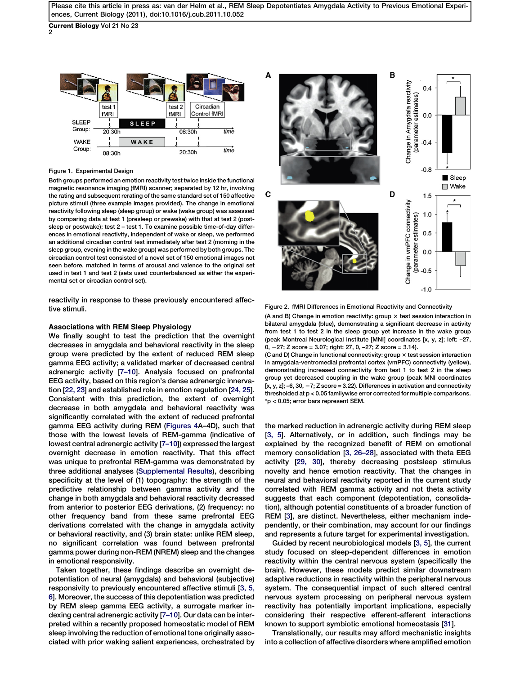<span id="page-1-0"></span>Current Biology Vol 21 No 23 2



Figure 1. Experimental Design

Both groups performed an emotion reactivity test twice inside the functional magnetic resonance imaging (fMRI) scanner; separated by 12 hr, involving the rating and subsequent rerating of the same standard set of 150 affective picture stimuli (three example images provided). The change in emotional reactivity following sleep (sleep group) or wake (wake group) was assessed by comparing data at test 1 (presleep or prewake) with that at test 2 (postsleep or postwake); test 2 – test 1. To examine possible time-of-day differences in emotional reactivity, independent of wake or sleep, we performed an additional circadian control test immediately after test 2 (morning in the sleep group, evening in the wake group) was performed by both groups. The circadian control test consisted of a novel set of 150 emotional images not seen before, matched in terms of arousal and valence to the original set used in test 1 and test 2 (sets used counterbalanced as either the experimental set or circadian control set).

reactivity in response to these previously encountered affective stimuli.

### Associations with REM Sleep Physiology

We finally sought to test the prediction that the overnight decreases in amygdala and behavioral reactivity in the sleep group were predicted by the extent of reduced REM sleep gamma EEG activity; a validated marker of decreased central adrenergic activity [\[7–10\]](#page-2-0). Analysis focused on prefrontal EEG activity, based on this region's dense adrenergic innervation [\[22, 23](#page-3-0)] and established role in emotion regulation [[24, 25\]](#page-3-0). Consistent with this prediction, the extent of overnight decrease in both amygdala and behavioral reactivity was significantly correlated with the extent of reduced prefrontal gamma EEG activity during REM ([Figures 4A](#page-2-0)–4D), such that those with the lowest levels of REM-gamma (indicative of lowest central adrenergic activity [[7–10\]](#page-2-0)) expressed the largest overnight decrease in emotion reactivity. That this effect was unique to prefrontal REM-gamma was demonstrated by three additional analyses [\(Supplemental Results\)](#page-2-0), describing specificity at the level of (1) topography: the strength of the predictive relationship between gamma activity and the change in both amygdala and behavioral reactivity decreased from anterior to posterior EEG derivations, (2) frequency: no other frequency band from these same prefrontal EEG derivations correlated with the change in amygdala activity or behavioral reactivity, and (3) brain state: unlike REM sleep, no significant correlation was found between prefrontal gamma power during non-REM (NREM) sleep and the changes in emotional responsivity.

Taken together, these findings describe an overnight depotentiation of neural (amygdala) and behavioral (subjective) responsivity to previously encountered affective stimuli [[3, 5,](#page-2-0) [6](#page-2-0)]. Moreover, the success of this depotentiation was predicted by REM sleep gamma EEG activity, a surrogate marker indexing central adrenergic activity [\[7–10](#page-2-0)]. Our data can be interpreted within a recently proposed homeostatic model of REM sleep involving the reduction of emotional tone originally associated with prior waking salient experiences, orchestrated by



Figure 2. fMRI Differences in Emotional Reactivity and Connectivity

(A and B) Change in emotion reactivity: group  $\times$  test session interaction in bilateral amygdala (blue), demonstrating a significant decrease in activity from test 1 to test 2 in the sleep group yet increase in the wake group (peak Montreal Neurological Institute [MNI] coordinates [x, y, z]; left: –27, 0, 227; Z score = 3.07; right: 27, 0, –27; Z score = 3.14).

(C and D) Change in functional connectivity: group  $\times$  test session interaction in amygdala-ventromedial prefrontal cortex (vmPFC) connectivity (yellow), demonstrating increased connectivity from test 1 to test 2 in the sleep group yet decreased coupling in the wake group (peak MNI coordinates [x, y, z];  $-6$ , 30,  $-7$ ; Z score = 3.22). Differences in activation and connectivity thresholded at p < 0.05 familywise error corrected for multiple comparisons. \*p < 0.05; error bars represent SEM.

the marked reduction in adrenergic activity during REM sleep [[3, 5\]](#page-2-0). Alternatively, or in addition, such findings may be explained by the recognized benefit of REM on emotional memory consolidation [[3, 26–28\]](#page-2-0), associated with theta EEG activity [\[29, 30\]](#page-3-0), thereby decreasing postsleep stimulus novelty and hence emotion reactivity. That the changes in neural and behavioral reactivity reported in the current study correlated with REM gamma activity and not theta activity suggests that each component (depotentiation, consolidation), although potential constituents of a broader function of REM [\[3\]](#page-2-0), are distinct. Nevertheless, either mechanism independently, or their combination, may account for our findings and represents a future target for experimental investigation.

Guided by recent neurobiological models [\[3, 5\]](#page-2-0), the current study focused on sleep-dependent differences in emotion reactivity within the central nervous system (specifically the brain). However, these models predict similar downstream adaptive reductions in reactivity within the peripheral nervous system. The consequential impact of such altered central nervous system processing on peripheral nervous system reactivity has potentially important implications, especially considering their respective efferent-afferent interactions known to support symbiotic emotional homeostasis [[31](#page-3-0)].

Translationally, our results may afford mechanistic insights into a collection of affective disorders where amplified emotion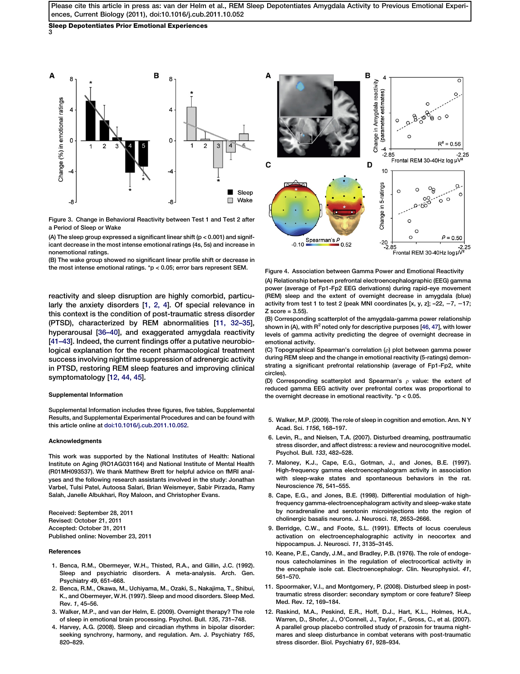# <span id="page-2-0"></span>Sleep Depotentiates Prior Emotional Experiences

3



Figure 3. Change in Behavioral Reactivity between Test 1 and Test 2 after a Period of Sleep or Wake

(A) The sleep group expressed a significant linear shift ( $p < 0.001$ ) and significant decrease in the most intense emotional ratings (4s, 5s) and increase in nonemotional ratings.

(B) The wake group showed no significant linear profile shift or decrease in the most intense emotional ratings. \*p < 0.05; error bars represent SEM.

reactivity and sleep disruption are highly comorbid, particularly the anxiety disorders [1, 2, 4]. Of special relevance in this context is the condition of post-traumatic stress disorder (PTSD), characterized by REM abnormalities [11, 32–35], hyperarousal [[36–40\]](#page-3-0), and exaggerated amygdala reactivity [[41–43\]](#page-3-0). Indeed, the current findings offer a putative neurobiological explanation for the recent pharmacological treatment success involving nighttime suppression of adrenergic activity in PTSD, restoring REM sleep features and improving clinical symptomatology [12, 44, 45].

#### Supplemental Information

Supplemental Information includes three figures, five tables, Supplemental Results, and Supplemental Experimental Procedures and can be found with this article online at [doi:10.1016/j.cub.2011.10.052](http://dx.doi.org/doi:10.1016/j.cub.2011.10.052).

#### Acknowledgments

This work was supported by the National Institutes of Health: National Institute on Aging (RO1AG031164) and National Institute of Mental Health (R01MH093537). We thank Matthew Brett for helpful advice on fMRI analyses and the following research assistants involved in the study: Jonathan Varbel, Tulsi Patel, Autoosa Salari, Brian Weismeyer, Sabir Pirzada, Ramy Salah, Janelle Albukhari, Roy Maloon, and Christopher Evans.

Received: September 28, 2011 Revised: October 21, 2011 Accepted: October 31, 2011 Published online: November 23, 2011

### **References**

- 1. Benca, R.M., Obermeyer, W.H., Thisted, R.A., and Gillin, J.C. (1992). Sleep and psychiatric disorders. A meta-analysis. Arch. Gen. Psychiatry 49, 651–668.
- 2. Benca, R.M., Okawa, M., Uchiyama, M., Ozaki, S., Nakajima, T., Shibui, K., and Obermeyer, W.H. (1997). Sleep and mood disorders. Sleep Med. Rev. 1, 45–56.
- 3. Walker, M.P., and van der Helm, E. (2009). Overnight therapy? The role of sleep in emotional brain processing. Psychol. Bull. 135, 731–748.
- 4. Harvey, A.G. (2008). Sleep and circadian rhythms in bipolar disorder: seeking synchrony, harmony, and regulation. Am. J. Psychiatry 165, 820–829.



Figure 4. Association between Gamma Power and Emotional Reactivity

(A) Relationship between prefrontal electroencephalographic (EEG) gamma power (average of Fp1-Fp2 EEG derivations) during rapid-eye movement (REM) sleep and the extent of overnight decrease in amygdala (blue) activity from test 1 to test 2 (peak MNI coordinates [x, y, z]; -22,  $-7$ ,  $-17$ ; Z score = 3.55).

(B) Corresponding scatterplot of the amygdala-gamma power relationship shown in (A), with  $R^2$  noted only for descriptive purposes [[46, 47\]](#page-3-0), with lower levels of gamma activity predicting the degree of overnight decrease in emotional activity.

(C) Topographical Spearman's correlation  $(\rho)$  plot between gamma power during REM sleep and the change in emotional reactivity (5-ratings) demonstrating a significant prefrontal relationship (average of Fp1-Fp2, white circles).

(D) Corresponding scatterplot and Spearman's  $\rho$  value: the extent of reduced gamma EEG activity over prefrontal cortex was proportional to the overnight decrease in emotional reactivity. \*p < 0.05.

- 5. Walker, M.P. (2009). The role of sleep in cognition and emotion. Ann. N Y Acad. Sci. 1156, 168–197.
- 6. Levin, R., and Nielsen, T.A. (2007). Disturbed dreaming, posttraumatic stress disorder, and affect distress: a review and neurocognitive model. Psychol. Bull. 133, 482–528.
- 7. Maloney, K.J., Cape, E.G., Gotman, J., and Jones, B.E. (1997). High-frequency gamma electroencephalogram activity in association with sleep-wake states and spontaneous behaviors in the rat. Neuroscience 76, 541–555.
- 8. Cape, E.G., and Jones, B.E. (1998). Differential modulation of highfrequency gamma-electroencephalogram activity and sleep-wake state by noradrenaline and serotonin microinjections into the region of cholinergic basalis neurons. J. Neurosci. 18, 2653–2666.
- 9. Berridge, C.W., and Foote, S.L. (1991). Effects of locus coeruleus activation on electroencephalographic activity in neocortex and hippocampus. J. Neurosci. 11, 3135–3145.
- 10. Keane, P.E., Candy, J.M., and Bradley, P.B. (1976). The role of endogenous catecholamines in the regulation of electrocortical activity in the encephale isole cat. Electroencephalogr. Clin. Neurophysiol. 41, 561–570.
- 11. Spoormaker, V.I., and Montgomery, P. (2008). Disturbed sleep in posttraumatic stress disorder: secondary symptom or core feature? Sleep Med. Rev. 12, 169–184.
- 12. Raskind, M.A., Peskind, E.R., Hoff, D.J., Hart, K.L., Holmes, H.A., Warren, D., Shofer, J., O'Connell, J., Taylor, F., Gross, C., et al. (2007). A parallel group placebo controlled study of prazosin for trauma nightmares and sleep disturbance in combat veterans with post-traumatic stress disorder. Biol. Psychiatry 61, 928–934.